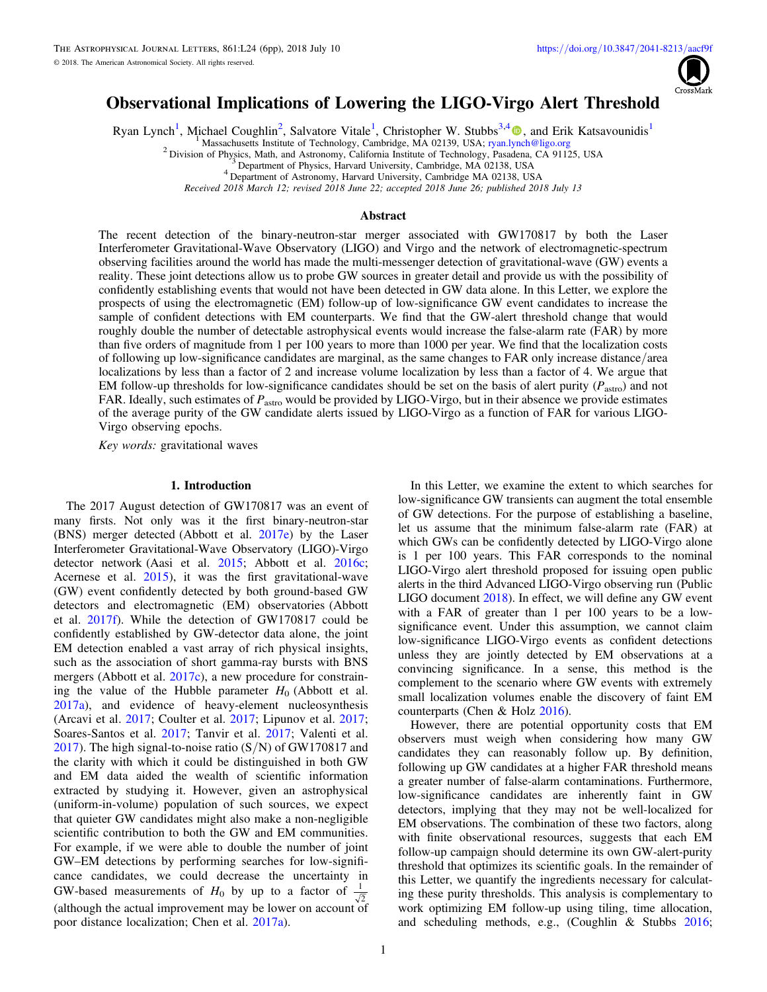

# Observational Implications of Lowering the LIGO-Virgo Alert Threshold

Ryan Lynch<sup>1</sup>, Michael Coughlin<sup>2</sup>, Salvatore Vitale<sup>1</sup>, Christopher W. Stubbs<sup>3,[4](https://orcid.org/0000-0003-0347-1724)</sup> [,](https://orcid.org/0000-0003-0347-1724) and Erik Katsavounidis<sup>1</sup>

<sup>1</sup> Massachusetts Institute of Technology, Cambridge, MA 02139, USA; [ryan.lynch@ligo.org](mailto:ryan.lynch@ligo.org)<br><sup>2</sup> Division of Physics, Math, and Astronomy, California Institute of Technology, Pasadena, CA 91125, USA<br><sup>3</sup> Department of Physics,

Received 2018 March 12; revised 2018 June 22; accepted 2018 June 26; published 2018 July 13

#### Abstract

The recent detection of the binary-neutron-star merger associated with GW170817 by both the Laser Interferometer Gravitational-Wave Observatory (LIGO) and Virgo and the network of electromagnetic-spectrum observing facilities around the world has made the multi-messenger detection of gravitational-wave (GW) events a reality. These joint detections allow us to probe GW sources in greater detail and provide us with the possibility of confidently establishing events that would not have been detected in GW data alone. In this Letter, we explore the prospects of using the electromagnetic (EM) follow-up of low-significance GW event candidates to increase the sample of confident detections with EM counterparts. We find that the GW-alert threshold change that would roughly double the number of detectable astrophysical events would increase the false-alarm rate (FAR) by more than five orders of magnitude from 1 per 100 years to more than 1000 per year. We find that the localization costs of following up low-significance candidates are marginal, as the same changes to FAR only increase distance/area localizations by less than a factor of 2 and increase volume localization by less than a factor of 4. We argue that EM follow-up thresholds for low-significance candidates should be set on the basis of alert purity ( $P_{\text{astro}}$ ) and not FAR. Ideally, such estimates of  $P_{\text{astro}}$  would be provided by LIGO-Virgo, but in their absence we provide estimates of the average purity of the GW candidate alerts issued by LIGO-Virgo as a function of FAR for various LIGO-Virgo observing epochs.

Key words: gravitational waves

#### 1. Introduction

The 2017 August detection of GW170817 was an event of many firsts. Not only was it the first binary-neutron-star (BNS) merger detected (Abbott et al. [2017e](#page-5-0)) by the Laser Interferometer Gravitational-Wave Observatory (LIGO)-Virgo detector network (Aasi et al. [2015](#page-5-0); Abbott et al. [2016c](#page-5-0); Acernese et al. [2015](#page-5-0)), it was the first gravitational-wave (GW) event confidently detected by both ground-based GW detectors and electromagnetic (EM) observatories (Abbott et al. [2017f](#page-5-0)). While the detection of GW170817 could be confidently established by GW-detector data alone, the joint EM detection enabled a vast array of rich physical insights, such as the association of short gamma-ray bursts with BNS mergers (Abbott et al. [2017c](#page-5-0)), a new procedure for constraining the value of the Hubble parameter  $H_0$  (Abbott et al. [2017a](#page-5-0)), and evidence of heavy-element nucleosynthesis (Arcavi et al. [2017;](#page-5-0) Coulter et al. [2017;](#page-5-0) Lipunov et al. [2017](#page-5-0); Soares-Santos et al. [2017](#page-5-0); Tanvir et al. [2017](#page-5-0); Valenti et al. [2017](#page-5-0)). The high signal-to-noise ratio  $(S/N)$  of GW170817 and the clarity with which it could be distinguished in both GW and EM data aided the wealth of scientific information extracted by studying it. However, given an astrophysical (uniform-in-volume) population of such sources, we expect that quieter GW candidates might also make a non-negligible scientific contribution to both the GW and EM communities. For example, if we were able to double the number of joint GW–EM detections by performing searches for low-significance candidates, we could decrease the uncertainty in GW-based measurements of  $H_0$  by up to a factor of  $\frac{1}{\sqrt{2}}$ (although the actual improvement may be lower on account of poor distance localization; Chen et al. [2017a](#page-5-0)).

In this Letter, we examine the extent to which searches for low-significance GW transients can augment the total ensemble of GW detections. For the purpose of establishing a baseline, let us assume that the minimum false-alarm rate (FAR) at which GWs can be confidently detected by LIGO-Virgo alone is 1 per 100 years. This FAR corresponds to the nominal LIGO-Virgo alert threshold proposed for issuing open public alerts in the third Advanced LIGO-Virgo observing run (Public LIGO document [2018](#page-5-0)). In effect, we will define any GW event with a FAR of greater than 1 per 100 years to be a lowsignificance event. Under this assumption, we cannot claim low-significance LIGO-Virgo events as confident detections unless they are jointly detected by EM observations at a convincing significance. In a sense, this method is the complement to the scenario where GW events with extremely small localization volumes enable the discovery of faint EM counterparts (Chen & Holz [2016](#page-5-0)).

However, there are potential opportunity costs that EM observers must weigh when considering how many GW candidates they can reasonably follow up. By definition, following up GW candidates at a higher FAR threshold means a greater number of false-alarm contaminations. Furthermore, low-significance candidates are inherently faint in GW detectors, implying that they may not be well-localized for EM observations. The combination of these two factors, along with finite observational resources, suggests that each EM follow-up campaign should determine its own GW-alert-purity threshold that optimizes its scientific goals. In the remainder of this Letter, we quantify the ingredients necessary for calculating these purity thresholds. This analysis is complementary to work optimizing EM follow-up using tiling, time allocation, and scheduling methods, e.g., (Coughlin & Stubbs [2016](#page-5-0);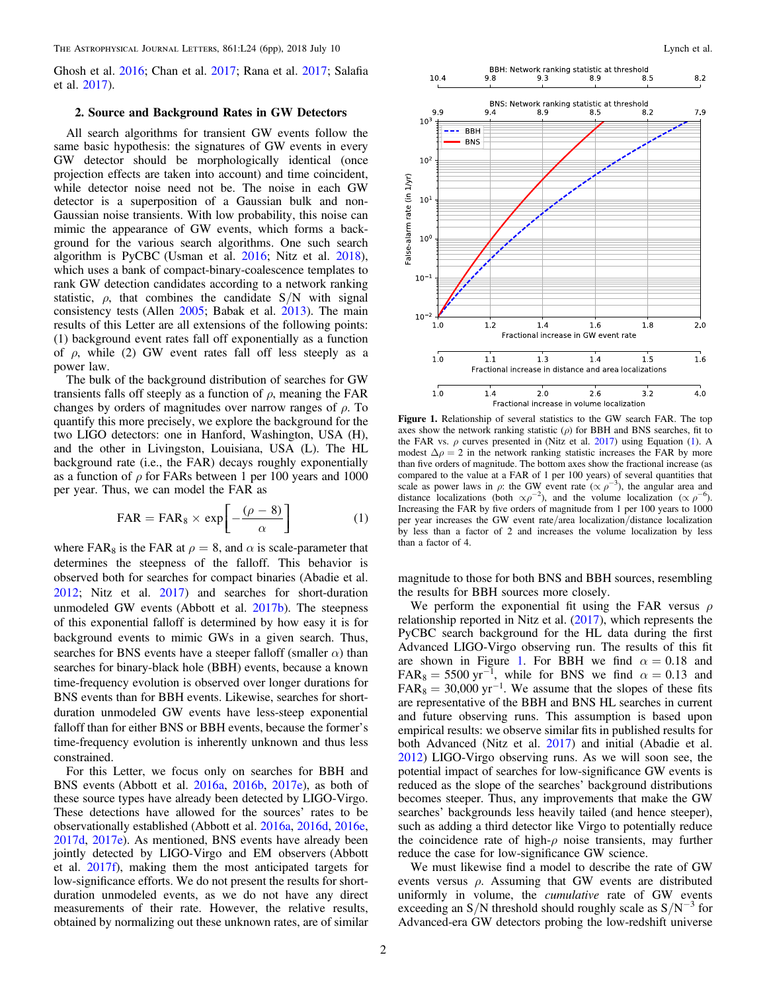<span id="page-1-0"></span>Ghosh et al. [2016](#page-5-0); Chan et al. [2017;](#page-5-0) Rana et al. [2017](#page-5-0); Salafia et al. [2017](#page-5-0)).

# 2. Source and Background Rates in GW Detectors

All search algorithms for transient GW events follow the same basic hypothesis: the signatures of GW events in every GW detector should be morphologically identical (once projection effects are taken into account) and time coincident, while detector noise need not be. The noise in each GW detector is a superposition of a Gaussian bulk and non-Gaussian noise transients. With low probability, this noise can mimic the appearance of GW events, which forms a background for the various search algorithms. One such search algorithm is PyCBC (Usman et al. [2016](#page-5-0); Nitz et al. [2018](#page-5-0)), which uses a bank of compact-binary-coalescence templates to rank GW detection candidates according to a network ranking statistic,  $\rho$ , that combines the candidate  $S/N$  with signal consistency tests (Allen [2005](#page-5-0); Babak et al. [2013](#page-5-0)). The main results of this Letter are all extensions of the following points: (1) background event rates fall off exponentially as a function of  $\rho$ , while (2) GW event rates fall off less steeply as a power law.

The bulk of the background distribution of searches for GW transients falls off steeply as a function of  $\rho$ , meaning the FAR changes by orders of magnitudes over narrow ranges of  $\rho$ . To quantify this more precisely, we explore the background for the two LIGO detectors: one in Hanford, Washington, USA (H), and the other in Livingston, Louisiana, USA (L). The HL background rate (i.e., the FAR) decays roughly exponentially as a function of  $\rho$  for FARs between 1 per 100 years and 1000 per year. Thus, we can model the FAR as

$$
FAR = FAR_8 \times \exp\left[-\frac{(\rho - 8)}{\alpha}\right] \tag{1}
$$

where FAR<sub>8</sub> is the FAR at  $\rho = 8$ , and  $\alpha$  is scale-parameter that determines the steepness of the falloff. This behavior is observed both for searches for compact binaries (Abadie et al. [2012;](#page-5-0) Nitz et al. [2017](#page-5-0)) and searches for short-duration unmodeled GW events (Abbott et al. [2017b](#page-5-0)). The steepness of this exponential falloff is determined by how easy it is for background events to mimic GWs in a given search. Thus, searches for BNS events have a steeper falloff (smaller  $\alpha$ ) than searches for binary-black hole (BBH) events, because a known time-frequency evolution is observed over longer durations for BNS events than for BBH events. Likewise, searches for shortduration unmodeled GW events have less-steep exponential falloff than for either BNS or BBH events, because the former's time-frequency evolution is inherently unknown and thus less constrained.

For this Letter, we focus only on searches for BBH and BNS events (Abbott et al. [2016a](#page-5-0), [2016b,](#page-5-0) [2017e](#page-5-0)), as both of these source types have already been detected by LIGO-Virgo. These detections have allowed for the sources' rates to be observationally established (Abbott et al. [2016a](#page-5-0), [2016d](#page-5-0), [2016e,](#page-5-0) [2017d,](#page-5-0) [2017e](#page-5-0)). As mentioned, BNS events have already been jointly detected by LIGO-Virgo and EM observers (Abbott et al. [2017f](#page-5-0)), making them the most anticipated targets for low-significance efforts. We do not present the results for shortduration unmodeled events, as we do not have any direct measurements of their rate. However, the relative results, obtained by normalizing out these unknown rates, are of similar



Figure 1. Relationship of several statistics to the GW search FAR. The top axes show the network ranking statistic  $(\rho)$  for BBH and BNS searches, fit to the FAR vs.  $\rho$  curves presented in (Nitz et al. [2017](#page-5-0)) using Equation (1). A modest  $\Delta \rho = 2$  in the network ranking statistic increases the FAR by more than five orders of magnitude. The bottom axes show the fractional increase (as compared to the value at a FAR of 1 per 100 years) of several quantities that scale as power laws in  $\rho$ : the GW event rate ( $\propto \rho^{-3}$ ), the angular area and distance localizations (both  $\propto \rho^{-2}$ ), and the volume localization ( $\propto \rho^{-6}$ ). Increasing the FAR by five orders of magnitude from 1 per 100 years to 1000 per year increases the GW event rate/area localization/distance localization by less than a factor of 2 and increases the volume localization by less than a factor of 4.

magnitude to those for both BNS and BBH sources, resembling the results for BBH sources more closely.

We perform the exponential fit using the FAR versus  $\rho$ relationship reported in Nitz et al. ([2017](#page-5-0)), which represents the PyCBC search background for the HL data during the first Advanced LIGO-Virgo observing run. The results of this fit are shown in Figure 1. For BBH we find  $\alpha = 0.18$  and FAR<sub>8</sub> = 5500 yr<sup>-1</sup>, while for BNS we find  $\alpha = 0.13$  and  $FAR_8 = 30,000 \text{ yr}^{-1}$ . We assume that the slopes of these fits are representative of the BBH and BNS HL searches in current and future observing runs. This assumption is based upon empirical results: we observe similar fits in published results for both Advanced (Nitz et al. [2017](#page-5-0)) and initial (Abadie et al. [2012](#page-5-0)) LIGO-Virgo observing runs. As we will soon see, the potential impact of searches for low-significance GW events is reduced as the slope of the searches' background distributions becomes steeper. Thus, any improvements that make the GW searches' backgrounds less heavily tailed (and hence steeper), such as adding a third detector like Virgo to potentially reduce the coincidence rate of high- $\rho$  noise transients, may further reduce the case for low-significance GW science.

We must likewise find a model to describe the rate of GW events versus  $\rho$ . Assuming that GW events are distributed uniformly in volume, the cumulative rate of GW events exceeding an S/N threshold should roughly scale as  $S/N^{-3}$  for Advanced-era GW detectors probing the low-redshift universe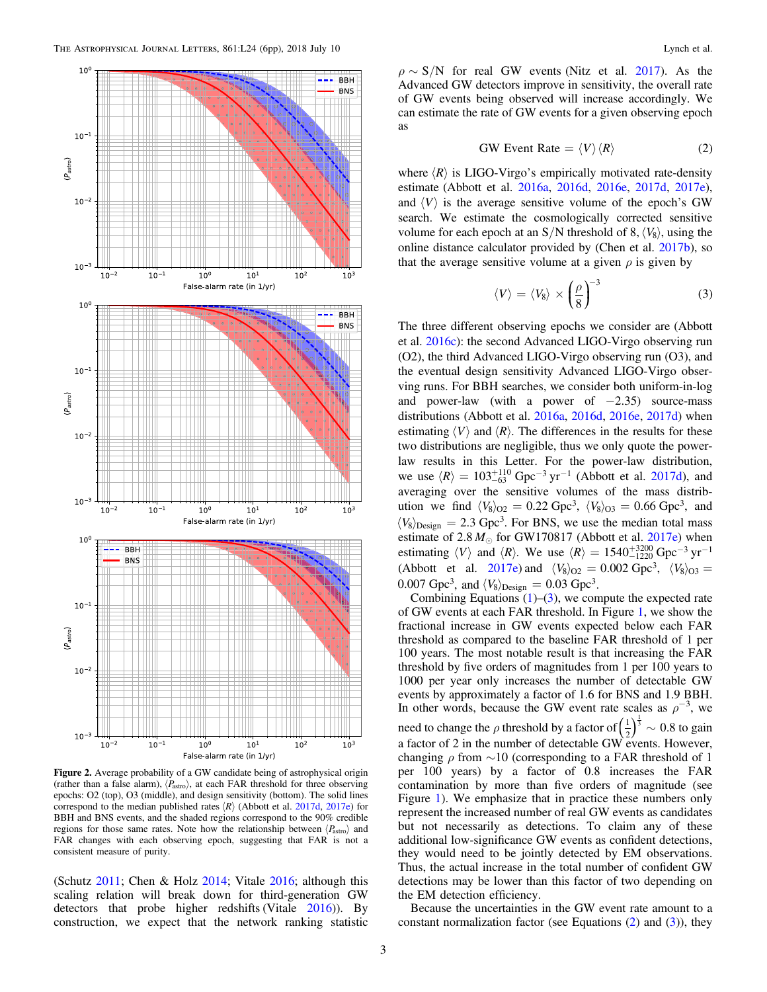<span id="page-2-0"></span>

Figure 2. Average probability of a GW candidate being of astrophysical origin (rather than a false alarm),  $\langle P_{\text{astro}}\rangle$ , at each FAR threshold for three observing epochs: O2 (top), O3 (middle), and design sensitivity (bottom). The solid lines correspond to the median published rates  $\langle R \rangle$  (Abbott et al. [2017d,](#page-5-0) [2017e](#page-5-0)) for BBH and BNS events, and the shaded regions correspond to the 90% credible regions for those same rates. Note how the relationship between  $\langle P_{\text{astro}} \rangle$  and FAR changes with each observing epoch, suggesting that FAR is not a consistent measure of purity.

(Schutz [2011;](#page-5-0) Chen & Holz [2014](#page-5-0); Vitale [2016](#page-5-0); although this scaling relation will break down for third-generation GW detectors that probe higher redshifts (Vitale [2016](#page-5-0))). By construction, we expect that the network ranking statistic  $\rho \sim S/N$  for real GW events (Nitz et al. [2017](#page-5-0)). As the Advanced GW detectors improve in sensitivity, the overall rate of GW events being observed will increase accordingly. We can estimate the rate of GW events for a given observing epoch as

GW Event Rate = 
$$
\langle V \rangle \langle R \rangle
$$
 (2)

where  $\langle R \rangle$  is LIGO-Virgo's empirically motivated rate-density estimate (Abbott et al. [2016a](#page-5-0), [2016d,](#page-5-0) [2016e,](#page-5-0) [2017d](#page-5-0), [2017e](#page-5-0)), and  $\langle V \rangle$  is the average sensitive volume of the epoch's GW search. We estimate the cosmologically corrected sensitive volume for each epoch at an S/N threshold of 8,  $\langle V_8 \rangle$ , using the online distance calculator provided by (Chen et al. [2017b](#page-5-0)), so that the average sensitive volume at a given  $\rho$  is given by

$$
\langle V \rangle = \langle V_8 \rangle \times \left(\frac{\rho}{8}\right)^{-3} \tag{3}
$$

The three different observing epochs we consider are (Abbott et al. [2016c](#page-5-0)): the second Advanced LIGO-Virgo observing run (O2), the third Advanced LIGO-Virgo observing run (O3), and the eventual design sensitivity Advanced LIGO-Virgo observing runs. For BBH searches, we consider both uniform-in-log and power-law (with a power of  $-2.35$ ) source-mass distributions (Abbott et al. [2016a,](#page-5-0) [2016d](#page-5-0), [2016e,](#page-5-0) [2017d](#page-5-0)) when estimating  $\langle V \rangle$  and  $\langle R \rangle$ . The differences in the results for these two distributions are negligible, thus we only quote the powerlaw results in this Letter. For the power-law distribution, we use  $\langle R \rangle = 103^{+110}_{-63}$  Gpc<sup>-3</sup> yr<sup>-1</sup> (Abbott et al. [2017d](#page-5-0)), and averaging over the sensitive volumes of the mass distribution we find  $\langle V_8 \rangle_{02} = 0.22 \text{ Gpc}^3$ ,  $\langle V_8 \rangle_{03} = 0.66 \text{ Gpc}^3$ , and  $\langle V_8 \rangle_{\text{Design}} = 2.3 \text{ Gpc}^3$ . For BNS, we use the median total mass estimate of  $2.8 M_{\odot}$  for GW170817 (Abbott et al.  $2017e$ ) when estimating  $\langle V \rangle$  and  $\langle R \rangle$ . We use  $\langle R \rangle = 1540^{+3200}_{-1220}$  Gpc<sup>-3</sup> yr<sup>-1</sup> (Abbott et al. [2017e](#page-5-0)) and  $\langle V_8 \rangle_{02} = 0.002 \text{ Gpc}^3$ ,  $\langle V_8 \rangle_{03} =$ 0.007 Gpc<sup>3</sup>, and  $\langle V_8 \rangle_{\text{Design}} = 0.03 \text{ Gpc}^3$ .

Combining Equations  $(1)$  $(1)$  $(1)$ – $(3)$ , we compute the expected rate of GW events at each FAR threshold. In Figure [1](#page-1-0), we show the fractional increase in GW events expected below each FAR threshold as compared to the baseline FAR threshold of 1 per 100 years. The most notable result is that increasing the FAR threshold by five orders of magnitudes from 1 per 100 years to 1000 per year only increases the number of detectable GW events by approximately a factor of 1.6 for BNS and 1.9 BBH. In other words, because the GW event rate scales as  $\rho^{-3}$ , we need to change the  $\rho$  threshold by a factor of  $\left(\frac{1}{2}\right)^{\frac{1}{3}} \sim 0.8$  $\left(\frac{1}{2}\right)^{\frac{1}{3}} \sim 0.8$  to gain a factor of 2 in the number of detectable GW events. However, changing  $\rho$  from ~10 (corresponding to a FAR threshold of 1 per 100 years) by a factor of 0.8 increases the FAR contamination by more than five orders of magnitude (see Figure [1](#page-1-0)). We emphasize that in practice these numbers only represent the increased number of real GW events as candidates but not necessarily as detections. To claim any of these additional low-significance GW events as confident detections, they would need to be jointly detected by EM observations. Thus, the actual increase in the total number of confident GW detections may be lower than this factor of two depending on the EM detection efficiency.

Because the uncertainties in the GW event rate amount to a constant normalization factor (see Equations (2) and (3)), they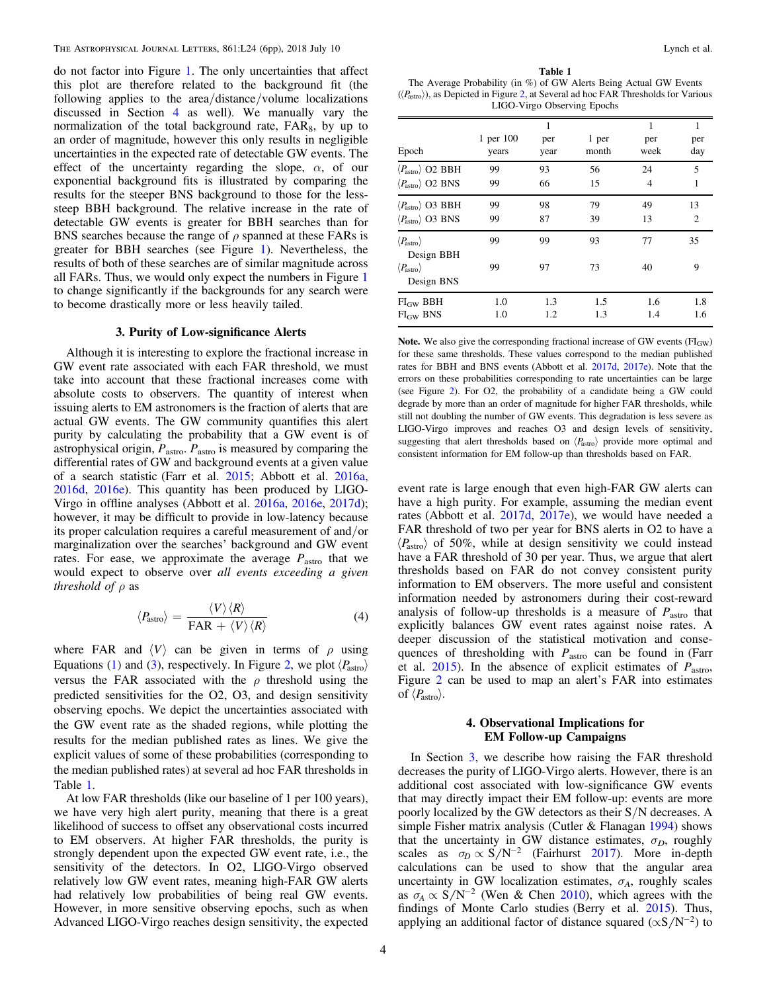do not factor into Figure [1.](#page-1-0) The only uncertainties that affect this plot are therefore related to the background fit (the following applies to the area/distance/volume localizations discussed in Section 4 as well). We manually vary the normalization of the total background rate,  $FAR_8$ , by up to an order of magnitude, however this only results in negligible uncertainties in the expected rate of detectable GW events. The effect of the uncertainty regarding the slope,  $\alpha$ , of our exponential background fits is illustrated by comparing the results for the steeper BNS background to those for the lesssteep BBH background. The relative increase in the rate of detectable GW events is greater for BBH searches than for BNS searches because the range of  $\rho$  spanned at these FARs is greater for BBH searches (see Figure [1](#page-1-0)). Nevertheless, the results of both of these searches are of similar magnitude across all FARs. Thus, we would only expect the numbers in Figure [1](#page-1-0) to change significantly if the backgrounds for any search were to become drastically more or less heavily tailed.

#### 3. Purity of Low-significance Alerts

Although it is interesting to explore the fractional increase in GW event rate associated with each FAR threshold, we must take into account that these fractional increases come with absolute costs to observers. The quantity of interest when issuing alerts to EM astronomers is the fraction of alerts that are actual GW events. The GW community quantifies this alert purity by calculating the probability that a GW event is of astrophysical origin,  $P_{astro}$ .  $P_{astro}$  is measured by comparing the differential rates of GW and background events at a given value of a search statistic (Farr et al. [2015](#page-5-0); Abbott et al. [2016a,](#page-5-0) [2016d,](#page-5-0) [2016e](#page-5-0)). This quantity has been produced by LIGO-Virgo in offline analyses (Abbott et al. [2016a](#page-5-0), [2016e](#page-5-0), [2017d](#page-5-0)); however, it may be difficult to provide in low-latency because its proper calculation requires a careful measurement of and/or marginalization over the searches' background and GW event rates. For ease, we approximate the average  $P_{astro}$  that we would expect to observe over all events exceeding a given threshold of  $\rho$  as

$$
\langle P_{\rm astro} \rangle = \frac{\langle V \rangle \langle R \rangle}{\text{FAR} + \langle V \rangle \langle R \rangle} \tag{4}
$$

where FAR and  $\langle V \rangle$  can be given in terms of  $\rho$  using Equations ([1](#page-1-0)) and ([3](#page-2-0)), respectively. In Figure [2](#page-2-0), we plot  $\langle P_{\text{astro}} \rangle$ versus the FAR associated with the  $\rho$  threshold using the predicted sensitivities for the O2, O3, and design sensitivity observing epochs. We depict the uncertainties associated with the GW event rate as the shaded regions, while plotting the results for the median published rates as lines. We give the explicit values of some of these probabilities (corresponding to the median published rates) at several ad hoc FAR thresholds in Table 1.

At low FAR thresholds (like our baseline of 1 per 100 years), we have very high alert purity, meaning that there is a great likelihood of success to offset any observational costs incurred to EM observers. At higher FAR thresholds, the purity is strongly dependent upon the expected GW event rate, i.e., the sensitivity of the detectors. In O2, LIGO-Virgo observed relatively low GW event rates, meaning high-FAR GW alerts had relatively low probabilities of being real GW events. However, in more sensitive observing epochs, such as when Advanced LIGO-Virgo reaches design sensitivity, the expected

Table 1 The Average Probability (in %) of GW Alerts Being Actual GW Events ( $\langle P_{\text{astro}}\rangle$ ), as Depicted in Figure [2](#page-2-0), at Several ad hoc FAR Thresholds for Various LIGO-Virgo Observing Epochs

|                                               |           | 1    |       | 1    | 1              |
|-----------------------------------------------|-----------|------|-------|------|----------------|
|                                               | 1 per 100 | per  | 1 per | per  | per            |
| Epoch                                         | years     | year | month | week | day            |
| $\langle P_{\rm astro} \rangle$ O2 BBH        | 99        | 93   | 56    | 24   | 5              |
| $\langle P_{\rm astro} \rangle$ O2 BNS        | 99        | 66   | 15    | 4    | 1              |
| $\langle P_{\rm astro} \rangle$ O3 BBH        | 99        | 98   | 79    | 49   | 13             |
| $\langle P_{\rm astro} \rangle$ O3 BNS        | 99        | 87   | 39    | 13   | $\overline{c}$ |
| $\langle P_{\rm astro} \rangle$<br>Design BBH | 99        | 99   | 93    | 77   | 35             |
| $\langle P_{\rm astro} \rangle$<br>Design BNS | 99        | 97   | 73    | 40   | 9              |
| $FI$ <sub>GW</sub> BBH                        | 1.0       | 1.3  | 1.5   | 1.6  | 1.8            |
| $FI$ <sub>GW</sub> BNS                        | 1.0       | 1.2  | 1.3   | 1.4  | 1.6            |

Note. We also give the corresponding fractional increase of GW events  $(FI<sub>GW</sub>)$ for these same thresholds. These values correspond to the median published rates for BBH and BNS events (Abbott et al. [2017d,](#page-5-0) [2017e](#page-5-0)). Note that the errors on these probabilities corresponding to rate uncertainties can be large (see Figure [2](#page-2-0)). For O2, the probability of a candidate being a GW could degrade by more than an order of magnitude for higher FAR thresholds, while still not doubling the number of GW events. This degradation is less severe as LIGO-Virgo improves and reaches O3 and design levels of sensitivity, suggesting that alert thresholds based on  $\langle P_{\text{astro}} \rangle$  provide more optimal and consistent information for EM follow-up than thresholds based on FAR.

event rate is large enough that even high-FAR GW alerts can have a high purity. For example, assuming the median event rates (Abbott et al. [2017d](#page-5-0), [2017e](#page-5-0)), we would have needed a FAR threshold of two per year for BNS alerts in O2 to have a  $\langle P_{\text{astro}}\rangle$  of 50%, while at design sensitivity we could instead have a FAR threshold of 30 per year. Thus, we argue that alert thresholds based on FAR do not convey consistent purity information to EM observers. The more useful and consistent information needed by astronomers during their cost-reward analysis of follow-up thresholds is a measure of  $P_{astro}$  that explicitly balances GW event rates against noise rates. A deeper discussion of the statistical motivation and consequences of thresholding with  $P_{astro}$  can be found in (Farr et al.  $2015$ ). In the absence of explicit estimates of  $P_{astro}$ , Figure [2](#page-2-0) can be used to map an alert's FAR into estimates of  $\langle P_{\text{astro}}\rangle$ .

# 4. Observational Implications for EM Follow-up Campaigns

In Section 3, we describe how raising the FAR threshold decreases the purity of LIGO-Virgo alerts. However, there is an additional cost associated with low-significance GW events that may directly impact their EM follow-up: events are more poorly localized by the GW detectors as their S/N decreases. A simple Fisher matrix analysis (Cutler & Flanagan [1994](#page-5-0)) shows that the uncertainty in GW distance estimates,  $\sigma_D$ , roughly scales as  $\sigma_D \propto S/N^{-2}$  (Fairhurst [2017](#page-5-0)). More in-depth calculations can be used to show that the angular area uncertainty in GW localization estimates,  $\sigma_A$ , roughly scales as  $\sigma_A \propto S/N^{-2}$  (Wen & Chen [2010](#page-5-0)), which agrees with the findings of Monte Carlo studies (Berry et al. [2015](#page-5-0)). Thus, applying an additional factor of distance squared ( $\propto S/N^{-2}$ ) to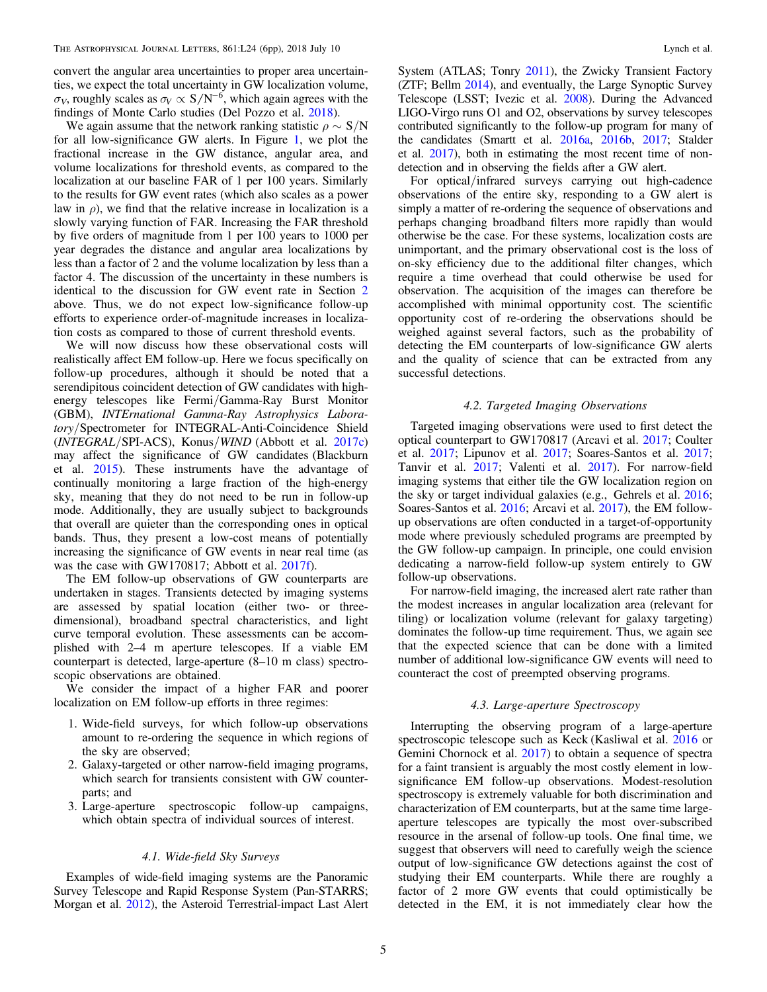convert the angular area uncertainties to proper area uncertainties, we expect the total uncertainty in GW localization volume,  $\sigma_V$ , roughly scales as  $\sigma_V \propto S/N^{-6}$ , which again agrees with the findings of Monte Carlo studies (Del Pozzo et al. [2018](#page-5-0)).

We again assume that the network ranking statistic  $\rho \sim S/N$ for all low-significance GW alerts. In Figure [1](#page-1-0), we plot the fractional increase in the GW distance, angular area, and volume localizations for threshold events, as compared to the localization at our baseline FAR of 1 per 100 years. Similarly to the results for GW event rates (which also scales as a power law in  $\rho$ ), we find that the relative increase in localization is a slowly varying function of FAR. Increasing the FAR threshold by five orders of magnitude from 1 per 100 years to 1000 per year degrades the distance and angular area localizations by less than a factor of 2 and the volume localization by less than a factor 4. The discussion of the uncertainty in these numbers is identical to the discussion for GW event rate in Section [2](#page-1-0) above. Thus, we do not expect low-significance follow-up efforts to experience order-of-magnitude increases in localization costs as compared to those of current threshold events.

We will now discuss how these observational costs will realistically affect EM follow-up. Here we focus specifically on follow-up procedures, although it should be noted that a serendipitous coincident detection of GW candidates with highenergy telescopes like Fermi/Gamma-Ray Burst Monitor (GBM), INTErnational Gamma-Ray Astrophysics Laboratory/Spectrometer for INTEGRAL-Anti-Coincidence Shield (INTEGRAL/SPI-ACS), Konus/WIND (Abbott et al. [2017c](#page-5-0)) may affect the significance of GW candidates (Blackburn et al. [2015](#page-5-0)). These instruments have the advantage of continually monitoring a large fraction of the high-energy sky, meaning that they do not need to be run in follow-up mode. Additionally, they are usually subject to backgrounds that overall are quieter than the corresponding ones in optical bands. Thus, they present a low-cost means of potentially increasing the significance of GW events in near real time (as was the case with GW170817; Abbott et al. [2017f](#page-5-0)).

The EM follow-up observations of GW counterparts are undertaken in stages. Transients detected by imaging systems are assessed by spatial location (either two- or threedimensional), broadband spectral characteristics, and light curve temporal evolution. These assessments can be accomplished with 2–4 m aperture telescopes. If a viable EM counterpart is detected, large-aperture (8–10 m class) spectroscopic observations are obtained.

We consider the impact of a higher FAR and poorer localization on EM follow-up efforts in three regimes:

- 1. Wide-field surveys, for which follow-up observations amount to re-ordering the sequence in which regions of the sky are observed;
- 2. Galaxy-targeted or other narrow-field imaging programs, which search for transients consistent with GW counterparts; and
- 3. Large-aperture spectroscopic follow-up campaigns, which obtain spectra of individual sources of interest.

#### 4.1. Wide-field Sky Surveys

Examples of wide-field imaging systems are the Panoramic Survey Telescope and Rapid Response System (Pan-STARRS; Morgan et al. [2012](#page-5-0)), the Asteroid Terrestrial-impact Last Alert

System (ATLAS; Tonry [2011](#page-5-0)), the Zwicky Transient Factory (ZTF; Bellm [2014](#page-5-0)), and eventually, the Large Synoptic Survey Telescope (LSST; Ivezic et al. [2008](#page-5-0)). During the Advanced LIGO-Virgo runs O1 and O2, observations by survey telescopes contributed significantly to the follow-up program for many of the candidates (Smartt et al. [2016a](#page-5-0), [2016b](#page-5-0), [2017;](#page-5-0) Stalder et al. [2017](#page-5-0)), both in estimating the most recent time of nondetection and in observing the fields after a GW alert.

For optical/infrared surveys carrying out high-cadence observations of the entire sky, responding to a GW alert is simply a matter of re-ordering the sequence of observations and perhaps changing broadband filters more rapidly than would otherwise be the case. For these systems, localization costs are unimportant, and the primary observational cost is the loss of on-sky efficiency due to the additional filter changes, which require a time overhead that could otherwise be used for observation. The acquisition of the images can therefore be accomplished with minimal opportunity cost. The scientific opportunity cost of re-ordering the observations should be weighed against several factors, such as the probability of detecting the EM counterparts of low-significance GW alerts and the quality of science that can be extracted from any successful detections.

## 4.2. Targeted Imaging Observations

Targeted imaging observations were used to first detect the optical counterpart to GW170817 (Arcavi et al. [2017](#page-5-0); Coulter et al. [2017](#page-5-0); Lipunov et al. [2017;](#page-5-0) Soares-Santos et al. [2017](#page-5-0); Tanvir et al. [2017](#page-5-0); Valenti et al. [2017](#page-5-0)). For narrow-field imaging systems that either tile the GW localization region on the sky or target individual galaxies (e.g., Gehrels et al. [2016](#page-5-0); Soares-Santos et al. [2016;](#page-5-0) Arcavi et al. [2017](#page-5-0)), the EM followup observations are often conducted in a target-of-opportunity mode where previously scheduled programs are preempted by the GW follow-up campaign. In principle, one could envision dedicating a narrow-field follow-up system entirely to GW follow-up observations.

For narrow-field imaging, the increased alert rate rather than the modest increases in angular localization area (relevant for tiling) or localization volume (relevant for galaxy targeting) dominates the follow-up time requirement. Thus, we again see that the expected science that can be done with a limited number of additional low-significance GW events will need to counteract the cost of preempted observing programs.

## 4.3. Large-aperture Spectroscopy

Interrupting the observing program of a large-aperture spectroscopic telescope such as Keck (Kasliwal et al. [2016](#page-5-0) or Gemini Chornock et al. [2017](#page-5-0)) to obtain a sequence of spectra for a faint transient is arguably the most costly element in lowsignificance EM follow-up observations. Modest-resolution spectroscopy is extremely valuable for both discrimination and characterization of EM counterparts, but at the same time largeaperture telescopes are typically the most over-subscribed resource in the arsenal of follow-up tools. One final time, we suggest that observers will need to carefully weigh the science output of low-significance GW detections against the cost of studying their EM counterparts. While there are roughly a factor of 2 more GW events that could optimistically be detected in the EM, it is not immediately clear how the